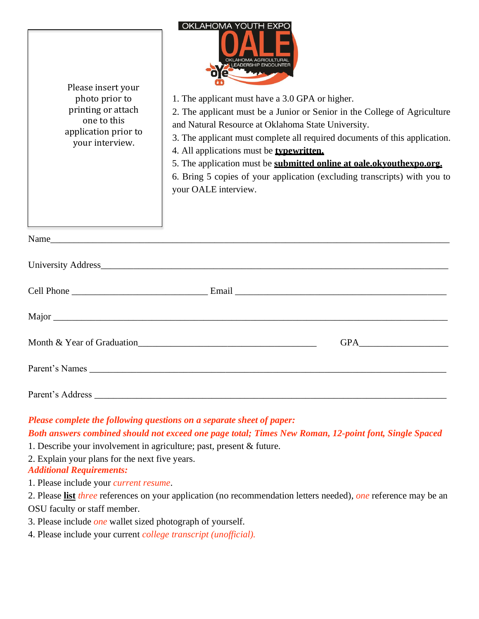| Please insert your<br>photo prior to<br>printing or attach<br>one to this<br>application prior to<br>your interview.                                                                                                                                   | <b>OKLAHOMA YOUTH EXPO</b><br>OKLAHOMA AGRICULTURAL<br>LEADERSHIP ENCOUNTER<br>1. The applicant must have a 3.0 GPA or higher.<br>2. The applicant must be a Junior or Senior in the College of Agriculture<br>and Natural Resource at Oklahoma State University.<br>3. The applicant must complete all required documents of this application.<br>4. All applications must be <b>typewritten.</b><br>5. The application must be submitted online at oale.okyouthexpo.org.<br>6. Bring 5 copies of your application (excluding transcripts) with you to<br>your OALE interview. |
|--------------------------------------------------------------------------------------------------------------------------------------------------------------------------------------------------------------------------------------------------------|---------------------------------------------------------------------------------------------------------------------------------------------------------------------------------------------------------------------------------------------------------------------------------------------------------------------------------------------------------------------------------------------------------------------------------------------------------------------------------------------------------------------------------------------------------------------------------|
|                                                                                                                                                                                                                                                        |                                                                                                                                                                                                                                                                                                                                                                                                                                                                                                                                                                                 |
|                                                                                                                                                                                                                                                        |                                                                                                                                                                                                                                                                                                                                                                                                                                                                                                                                                                                 |
|                                                                                                                                                                                                                                                        |                                                                                                                                                                                                                                                                                                                                                                                                                                                                                                                                                                                 |
|                                                                                                                                                                                                                                                        |                                                                                                                                                                                                                                                                                                                                                                                                                                                                                                                                                                                 |
|                                                                                                                                                                                                                                                        | Month & Year of Graduation<br><b>GPA</b>                                                                                                                                                                                                                                                                                                                                                                                                                                                                                                                                        |
|                                                                                                                                                                                                                                                        | Parent's Names                                                                                                                                                                                                                                                                                                                                                                                                                                                                                                                                                                  |
|                                                                                                                                                                                                                                                        |                                                                                                                                                                                                                                                                                                                                                                                                                                                                                                                                                                                 |
| Please complete the following questions on a separate sheet of paper:<br>Both answers combined should not exceed one page total; Times New Roman, 12-point font, Single Spaced<br>1. Describe your involvement in agriculture; past, present & future. |                                                                                                                                                                                                                                                                                                                                                                                                                                                                                                                                                                                 |

2. Explain your plans for the next five years.

*Additional Requirements:*

1. Please include your *current resume*.

2. Please **list** *three* references on your application (no recommendation letters needed), *one* reference may be an OSU faculty or staff member.

- 3. Please include *one* wallet sized photograph of yourself.
- 4. Please include your current *college transcript (unofficial).*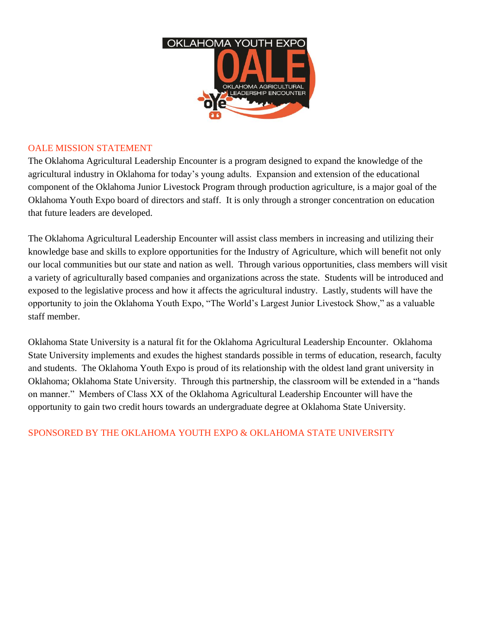

## OALE MISSION STATEMENT

The Oklahoma Agricultural Leadership Encounter is a program designed to expand the knowledge of the agricultural industry in Oklahoma for today's young adults. Expansion and extension of the educational component of the Oklahoma Junior Livestock Program through production agriculture, is a major goal of the Oklahoma Youth Expo board of directors and staff. It is only through a stronger concentration on education that future leaders are developed.

The Oklahoma Agricultural Leadership Encounter will assist class members in increasing and utilizing their knowledge base and skills to explore opportunities for the Industry of Agriculture, which will benefit not only our local communities but our state and nation as well. Through various opportunities, class members will visit a variety of agriculturally based companies and organizations across the state. Students will be introduced and exposed to the legislative process and how it affects the agricultural industry. Lastly, students will have the opportunity to join the Oklahoma Youth Expo, "The World's Largest Junior Livestock Show," as a valuable staff member.

Oklahoma State University is a natural fit for the Oklahoma Agricultural Leadership Encounter. Oklahoma State University implements and exudes the highest standards possible in terms of education, research, faculty and students. The Oklahoma Youth Expo is proud of its relationship with the oldest land grant university in Oklahoma; Oklahoma State University. Through this partnership, the classroom will be extended in a "hands on manner." Members of Class XX of the Oklahoma Agricultural Leadership Encounter will have the opportunity to gain two credit hours towards an undergraduate degree at Oklahoma State University.

## SPONSORED BY THE OKLAHOMA YOUTH EXPO & OKLAHOMA STATE UNIVERSITY